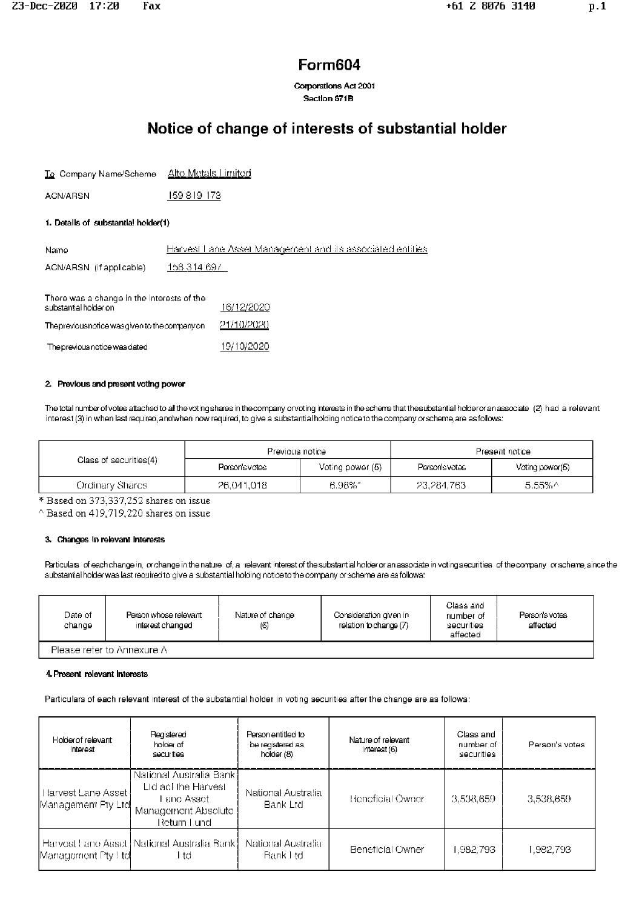Corporations Act 2001 Section 671B

# Notice of change of interests of substantial holder

| To Company Name/Scheme | <u> Alto Motals Limitod</u> |  |
|------------------------|-----------------------------|--|
|                        |                             |  |

159 8 19 173 **ACN/ARSN** 

## 1. Details of substantial holder(1)

| Name                                                                | Harvest Lane Asset Management and its associated entities. |
|---------------------------------------------------------------------|------------------------------------------------------------|
| ACN/ARSN (if applicable)                                            | 158 314 697                                                |
| There was a change in the interests of the<br>substantial holder on | 16/12/2020                                                 |
| Theprevious notice was given to the company on                      | 21/10/2020                                                 |
| The previous notice was dated                                       | 19/10/2020                                                 |

#### 2. Previous and present voting power

The total number of votes attached to all the voting shares in the company orvoting interests in the scheme that the substantial holder or an associate (2) had a relevant interest (3) in when last required, and when now required, to give a substantial holding notice to the company orscheme, are as follows:

|                        | Previous notice |                  | Present notice |                 |  |
|------------------------|-----------------|------------------|----------------|-----------------|--|
| Class of securities(4) | Person's votes  | Voting power (5) | Person's votes | Voting power(5) |  |
| Ordinary Shares I      | 26,041,018      | 6.98%″           | -23,284,763-   | -5.55%^         |  |

\* Based on 373,337,252 shares on issue

 $^{\wedge}$  Based on 419,719,220 shares on issue

#### 3. Changes in relevant interests

Particulars of each change in, or change in the nature of, a relevant interest of the substantial holder or an associate in voting securities of the company or scheme, since the substantial holderwas last required to give a substantial holding notice to the company or scheme are as follows:

| Date of I<br>change        | Person whose relevant<br>interest changed | Nature of change<br>(6) | Consideration given in<br>relation to change (7) | Class and<br>number of<br>securities<br>affected | Person's votes<br>affected |
|----------------------------|-------------------------------------------|-------------------------|--------------------------------------------------|--------------------------------------------------|----------------------------|
| Please refer to Annexure A |                                           |                         |                                                  |                                                  |                            |

#### 4. Present relevant Interests

Particulars of each relevant interest of the substantial holder in voting securities after the change are as follows:

| Holder of relevant<br>interest             | Registered<br>holder of<br>securities                                                                  | Person entitled to<br>be registered as<br>holder (8) | Nature of relevant<br>interest (6) | Class and<br>number of<br>securities | Person's votes |
|--------------------------------------------|--------------------------------------------------------------------------------------------------------|------------------------------------------------------|------------------------------------|--------------------------------------|----------------|
| Harvest Lane Asset !<br>Management Pty Ltd | National Australia Bank∤<br>Lid aci the Harvest<br>Lano Asset i<br>Management Absolute<br>Return Lundi | National Australia<br>Bank Ltd                       | Beneficial Owner                   | 3,538,659                            | 3,538,659      |
| Management Pty ! tel                       | Harvest Lane Asset   National Australia Bank  <br>l td                                                 | National Australia<br>Bank I td                      | Beneticial Owner                   | 1.982.793                            | 1.982.793      |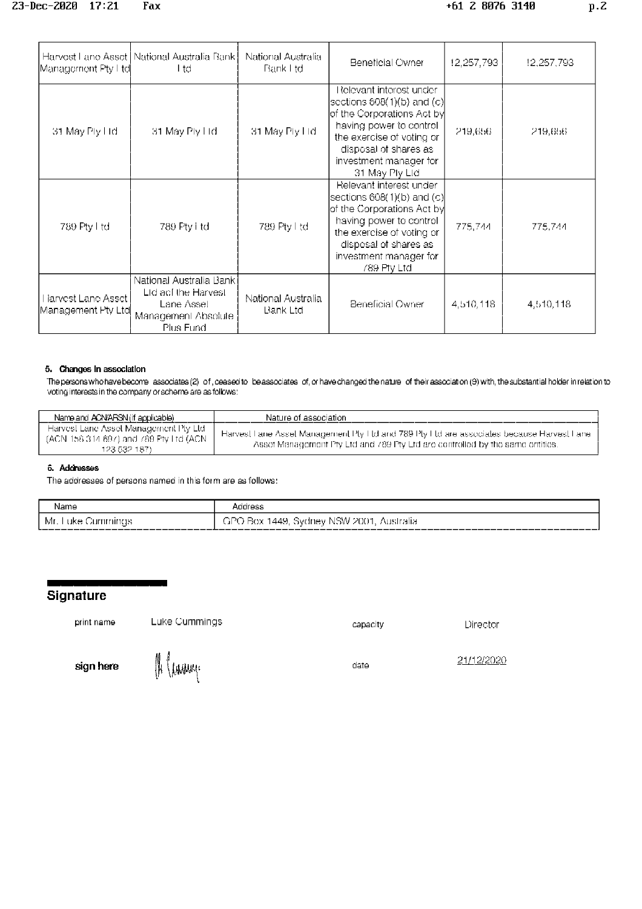| Management Pty Ltd                        | Harvest Lane Asset   National Australia Bank  <br>l td                                            | National Australia<br>Bank I td. | Beneticial Owner                                                                                                                                                                                                                | 12,257,793 | 12,257,793 |
|-------------------------------------------|---------------------------------------------------------------------------------------------------|----------------------------------|---------------------------------------------------------------------------------------------------------------------------------------------------------------------------------------------------------------------------------|------------|------------|
| 31 May Ply Hd                             | 31 May Ply Hd                                                                                     | 31 May Ply Ltd.                  | Relevant interest under:<br>$ {\rm sections}$ 608(1)(b) and (c) $ $<br>of the Corporations Act by<br>having power to control.<br>the exercise of voting or<br>disposal of shares as<br>investment manader for<br>31 May Ply Ltd | 219,656.   | -219,656   |
| 789 Pty Ltd                               | 789 Pty Ltd                                                                                       | 789 Pty Ltd                      | Relevant interest under<br> sections 608(1)(b) and (c) <br>of the Corporations Act by<br>having power to control<br>the exercise of voting or<br>disposal of shares as<br>investment manager for<br>789 Pty Ltd                 | 775,744    | 775,744    |
| larvest Lane Asset<br> Management Pty Ltd | National Australia Banki<br>Lid aci the Harvest<br>Lane Asset<br>Management Absolute<br>Plus Fund | National Australia<br>Bank Ltd   | Beneficial Owner                                                                                                                                                                                                                | 4,510,118  | 4,510,118  |

#### 5. Changes in association

The persons who have become associates (2) of, ceased to be associates of, or have changed the nature of their association (9) with, the substantial holder in relation to voting interests in the company or scheme are as follows:

| Name and ACN/ARSN (if applicable)                                                                    | Nature of association                                                                                                                                                      |
|------------------------------------------------------------------------------------------------------|----------------------------------------------------------------------------------------------------------------------------------------------------------------------------|
| - Harvest Lane Asset Management Pty-Ltd<br>(ACN 158 314 697) and 789 Pty Ltd (ACN )<br>123 532 187). | Harvest Fane Asset Management Pty Ftd and 789 Pty Ftd are associates because Harvest Fane<br>Asset Management Pty Ltd and 789 Pty Ltd are controlled by the same entities. |

## 6. Addresses

The addresses of persons named in this form are as follows:

| Name                                                                                                                                                                                                                                                               | ddress                                                      |
|--------------------------------------------------------------------------------------------------------------------------------------------------------------------------------------------------------------------------------------------------------------------|-------------------------------------------------------------|
| Mr.<br>uke.<br>- Cummmus -<br>$\blacksquare$ . The contract of the contract of the contract of the contract of the contract of the contract of the contract of the contract of the contract of the contract of the contract of the contract of the contract of the | 2001<br>1449<br>arc<br>N'SW<br>-Svanevi<br>Box<br>Australia |

# Signature

print name

Luke Cummings

capacity

Director

sign here

(H (Lavange

date

21/12/2020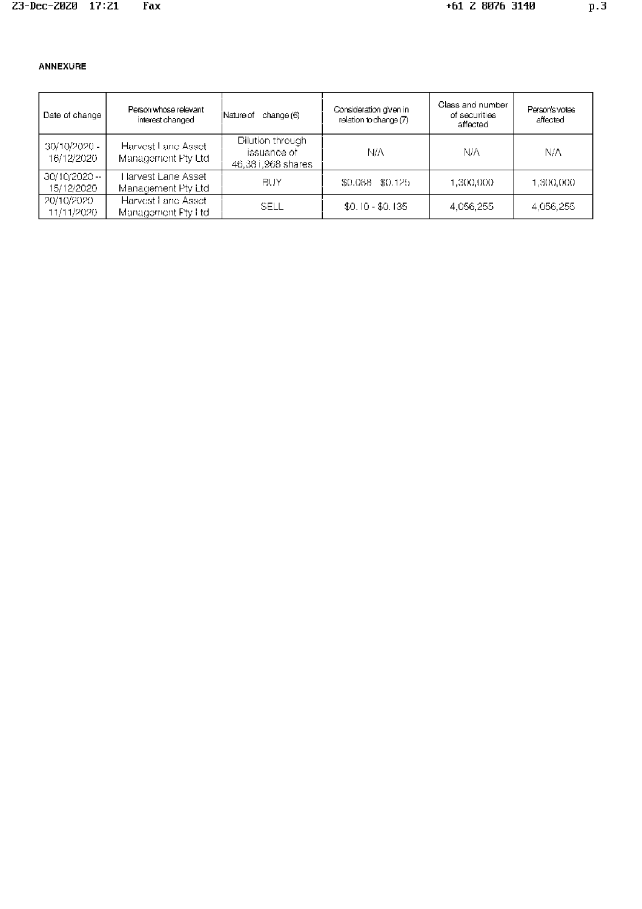# ANNEXURE

| Date of change              | Person whose relevant<br>interest changed  | lNature of<br>change (6)                               | Consideration given in<br>relation to change (7) | Class and number<br>of securities<br>affected | Person's votes<br>affected |
|-----------------------------|--------------------------------------------|--------------------------------------------------------|--------------------------------------------------|-----------------------------------------------|----------------------------|
| 30/10/2020 -<br>16/12/2020  | Harvest Lane Asset<br>Management Pty Ltd   | Dilution through<br>issuance of I<br>46,381,968 shares | NΙA                                              | NΙA                                           | N/A                        |
| 30/10/2020 --<br>15/12/2020 | Harvest Lane Asset I<br>Management Pty Ltd | BUY                                                    | \$0.088 \$0.125                                  | 1,300,000                                     | 1,300,000                  |
| -20/10/2020-<br>11/11/2020  | Harvest Lane Asset<br>Management Pty Ltd   | SELL                                                   | $$0.10 - $0.135$                                 | 4.056.255                                     | 4.056.255                  |